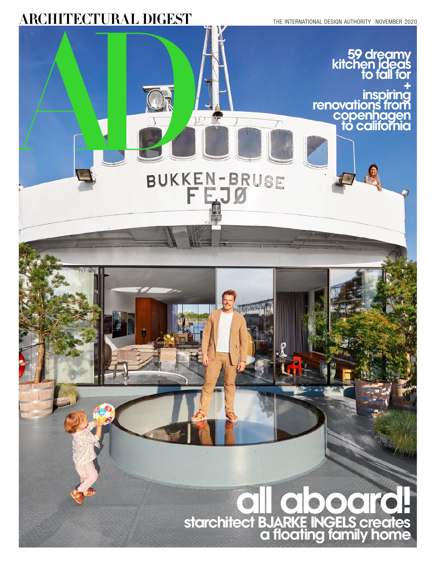## **ARCHITECTURAL DIGEST**

THE INTERNATIONAL DESIGN AUTHORITY NOVEMBER 2020

## **59 dreamy kitchen ideas to fall for + inspiring renovations from copenhagen to california**  BUKKEN-BRUSE **all aboard! starchitect BJARKE INGELS creates a floating family home**